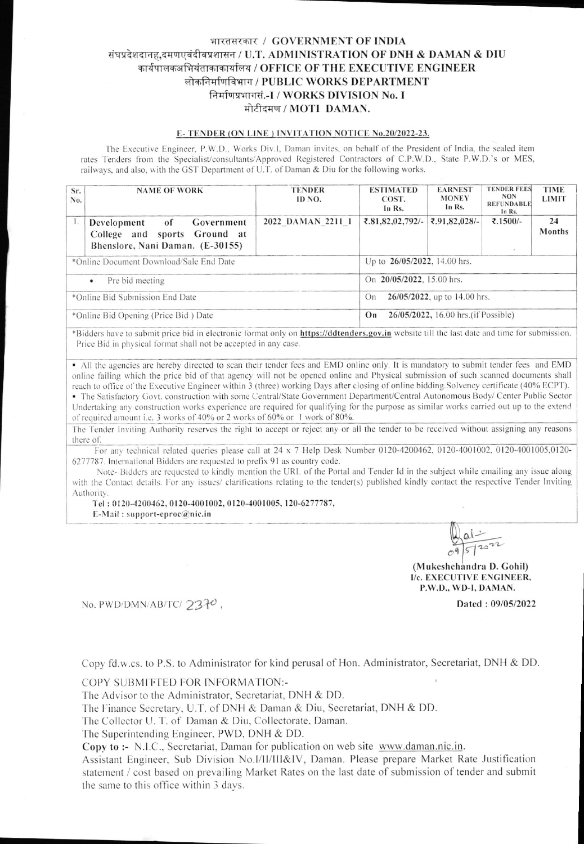# भारतसरकार / GOVERNMENT OF INDIA संघप्रदेशदानह,दमणएवंदीवप्रशासन / U.T. ADMINISTRATION OF DNH & DAMAN & DIU कार्यपालकअभियंताकाकार्यालय / OFFICE OF THE EXECUTIVE ENGINEER लोकनिर्माणविभाग / PUBLIC WORKS DEPARTMENT निर्माणप्रभागसं.-I / WORKS DIVISION No. I मोटीदमण / MOTI DAMAN.

#### E-TENDER (ON LINE) INVITATION NOTICE No.20/2022-23.

The Executive Engineer, P.W.D., Works Div.I, Daman invites, on behalf of the President of India, the sealed item rates Tenders from the Specialist/consultants/Approved Registered Contractors of C.P.W.D., State P.W.D.'s or MES, railways, and also, with the GST Department of U.T. of Daman & Diu for the following works.

| Sr.<br>No.                              | <b>NAME OF WORK</b>                                                                                 | <b>TENDER</b><br>ID NO. | <b>ESTIMATED</b><br>COST.<br>In Rs.        | <b>EARNEST</b><br><b>MONEY</b><br>In Rs. | <b>TENDER FEES</b><br>NON.<br><b>REFUNDABLE</b><br>In Rs. | <b>TIME</b><br><b>LIMIT</b> |  |
|-----------------------------------------|-----------------------------------------------------------------------------------------------------|-------------------------|--------------------------------------------|------------------------------------------|-----------------------------------------------------------|-----------------------------|--|
| 1.                                      | Development<br>Government<br>of<br>College and sports Ground at<br>Bhenslore, Nani Daman. (E-30155) | 2022 DAMAN 2211 1       | ₹.81,82,02,792/-                           | ₹.91,82,028/-                            | ₹.1500/-<br>$\sim$                                        | 24<br>Months                |  |
| *Online Document Download/Sale End Date |                                                                                                     |                         | Up to 26/05/2022, 14.00 hrs.               |                                          |                                                           |                             |  |
| Pre bid meeting<br>$\bullet$            |                                                                                                     |                         | On 20/05/2022, 15.00 hrs.                  |                                          |                                                           |                             |  |
| *Online Bid Submission End Date         |                                                                                                     |                         | 26/05/2022, up to 14.00 hrs.<br>On         |                                          |                                                           |                             |  |
| *Online Bid Opening (Price Bid) Date    |                                                                                                     |                         | 26/05/2022, 16.00 hrs. (if Possible)<br>On |                                          |                                                           |                             |  |

\*Bidders have to submit price bid in electronic format only on https://ddtenders.gov.in website till the last date and time for submission. Price Bid in physical format shall not be accepted in any case.

• All the agencies are hereby directed to scan their tender fees and EMD online only. It is mandatory to submit tender fees and EMD online failing which the price bid of that agency will not be opened online and Physical submission of such scanned documents shall reach to office of the Executive Engineer within 3 (three) working Days after closing of online bidding. Solvency certificate (40% ECPT). • The Satisfactory Govt. construction with some Central/State Government Department/Central Autonomous Body/ Center Public Sector Undertaking any construction works experience are required for qualifying for the purpose as similar works carried out up to the extend of required amount i.e. 3 works of 40% or 2 works of 60% or 1 work of 80%.

The Tender Inviting Authority reserves the right to accept or reject any or all the tender to be received without assigning any reasons there of.

For any technical related queries please call at 24 x 7 Help Desk Number 0120-4200462, 0120-4001002, 0120-4001005,0120-6277787. International Bidders are requested to prefix 91 as country code.

Note-Bidders are requested to kindly mention the URL of the Portal and Tender Id in the subject while emailing any issue along with the Contact details. For any issues/ clarifications relating to the tender(s) published kindly contact the respective Tender Inviting Authority.

Tel: 0120-4200462, 0120-4001002, 0120-4001005, 120-6277787,

E-Mail: support-eproc@nic.in

(Mukeshchandra D. Gohil) I/c. EXECUTIVE ENGINEER, P.W.D., WD-I, DAMAN.

Dated: 09/05/2022

No. PWD/DMN/AB/TC/2370,

Copy fd.w.cs. to P.S. to Administrator for kind perusal of Hon. Administrator, Secretariat, DNH & DD.

COPY SUBMIFTED FOR INFORMATION:-

The Advisor to the Administrator, Secretariat, DNH & DD.

The Finance Secretary, U.T. of DNH & Daman & Diu, Secretariat, DNH & DD.

The Collector U. T. of Daman & Diu, Collectorate, Daman.

The Superintending Engineer, PWD, DNH & DD.

Copy to :- N.I.C., Secretariat, Daman for publication on web site www.daman.nic.in.

Assistant Engineer, Sub Division No.I/II/III&IV, Daman. Please prepare Market Rate Justification statement / cost based on prevailing Market Rates on the last date of submission of tender and submit the same to this office within 3 days.